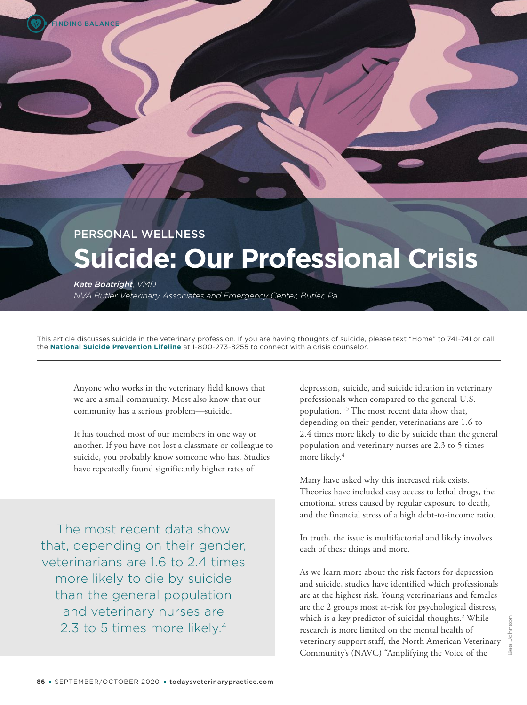# PERSONAL WELLNESS **Suicide: Our Professional Crisis**

*Kate Boatright, VMD*

*NVA Butler Veterinary Associates and Emergency Center, Butler, Pa.*

This article discusses suicide in the veterinary profession. If you are having thoughts of suicide, please text "Home" to 741-741 or call the **National Suicide Prevention Lifeline** at 1-800-273-8255 to connect with a crisis counselor.

Anyone who works in the veterinary field knows that we are a small community. Most also know that our community has a serious problem—suicide.

It has touched most of our members in one way or another. If you have not lost a classmate or colleague to suicide, you probably know someone who has. Studies have repeatedly found significantly higher rates of

The most recent data show that, depending on their gender, veterinarians are 1.6 to 2.4 times more likely to die by suicide than the general population and veterinary nurses are 2.3 to 5 times more likely.<sup>4</sup>

depression, suicide, and suicide ideation in veterinary professionals when compared to the general U.S. population.1-5 The most recent data show that, depending on their gender, veterinarians are 1.6 to 2.4 times more likely to die by suicide than the general population and veterinary nurses are 2.3 to 5 times more likely.<sup>4</sup>

Many have asked why this increased risk exists. Theories have included easy access to lethal drugs, the emotional stress caused by regular exposure to death, and the financial stress of a high debt-to-income ratio.

In truth, the issue is multifactorial and likely involves each of these things and more.

As we learn more about the risk factors for depression and suicide, studies have identified which professionals are at the highest risk. Young veterinarians and females are the 2 groups most at-risk for psychological distress, which is a key predictor of suicidal thoughts.<sup>2</sup> While research is more limited on the mental health of veterinary support staff, the North American Veterinary Community's (NAVC) "Amplifying the Voice of the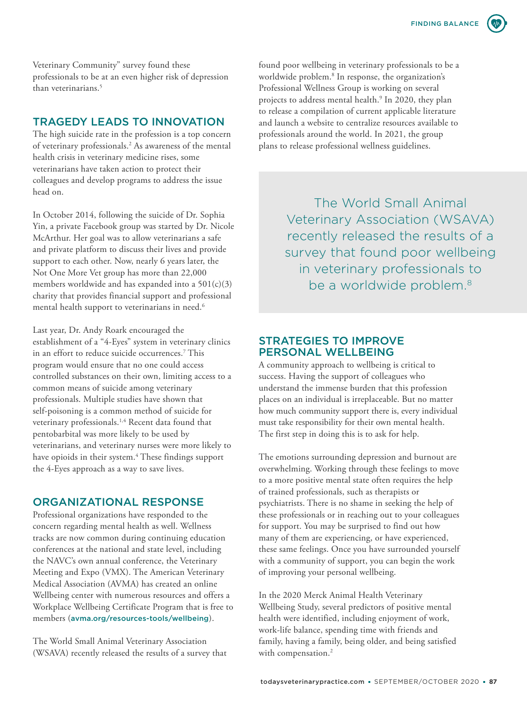FINDING BALANCE

Veterinary Community" survey found these professionals to be at an even higher risk of depression than veterinarians.<sup>5</sup>

# TRAGEDY LEADS TO INNOVATION

The high suicide rate in the profession is a top concern of veterinary professionals.<sup>2</sup> As awareness of the mental health crisis in veterinary medicine rises, some veterinarians have taken action to protect their colleagues and develop programs to address the issue head on.

In October 2014, following the suicide of Dr. Sophia Yin, a private Facebook group was started by Dr. Nicole McArthur. Her goal was to allow veterinarians a safe and private platform to discuss their lives and provide support to each other. Now, nearly 6 years later, the Not One More Vet group has more than 22,000 members worldwide and has expanded into a  $501(c)(3)$ charity that provides financial support and professional mental health support to veterinarians in need.<sup>6</sup>

Last year, Dr. Andy Roark encouraged the establishment of a "4-Eyes" system in veterinary clinics in an effort to reduce suicide occurrences.<sup>7</sup> This program would ensure that no one could access controlled substances on their own, limiting access to a common means of suicide among veterinary professionals. Multiple studies have shown that self-poisoning is a common method of suicide for veterinary professionals.<sup>1,4</sup> Recent data found that pentobarbital was more likely to be used by veterinarians, and veterinary nurses were more likely to have opioids in their system.<sup>4</sup> These findings support the 4-Eyes approach as a way to save lives.

## ORGANIZATIONAL RESPONSE

Professional organizations have responded to the concern regarding mental health as well. Wellness tracks are now common during continuing education conferences at the national and state level, including the NAVC's own annual conference, the Veterinary Meeting and Expo (VMX). The American Veterinary Medical Association (AVMA) has created an online Wellbeing center with numerous resources and offers a Workplace Wellbeing Certificate Program that is free to members (avma.org/resources-tools/wellbeing).

The World Small Animal Veterinary Association (WSAVA) recently released the results of a survey that found poor wellbeing in veterinary professionals to be a worldwide problem.<sup>8</sup> In response, the organization's Professional Wellness Group is working on several projects to address mental health.<sup>9</sup> In 2020, they plan to release a compilation of current applicable literature and launch a website to centralize resources available to professionals around the world. In 2021, the group plans to release professional wellness guidelines.

> The World Small Animal Veterinary Association (WSAVA) recently released the results of a survey that found poor wellbeing in veterinary professionals to be a worldwide problem.<sup>8</sup>

## STRATEGIES TO IMPROVE PERSONAL WELLBEING

A community approach to wellbeing is critical to success. Having the support of colleagues who understand the immense burden that this profession places on an individual is irreplaceable. But no matter how much community support there is, every individual must take responsibility for their own mental health. The first step in doing this is to ask for help.

The emotions surrounding depression and burnout are overwhelming. Working through these feelings to move to a more positive mental state often requires the help of trained professionals, such as therapists or psychiatrists. There is no shame in seeking the help of these professionals or in reaching out to your colleagues for support. You may be surprised to find out how many of them are experiencing, or have experienced, these same feelings. Once you have surrounded yourself with a community of support, you can begin the work of improving your personal wellbeing.

In the 2020 Merck Animal Health Veterinary Wellbeing Study, several predictors of positive mental health were identified, including enjoyment of work, work-life balance, spending time with friends and family, having a family, being older, and being satisfied with compensation.<sup>2</sup>